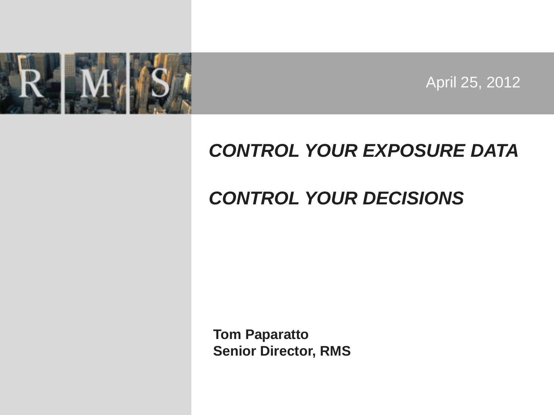

April 25, 2012

### *CONTROL YOUR EXPOSURE DATA*

### *CONTROL YOUR DECISIONS*

**Tom Paparatto Senior Director, RMS**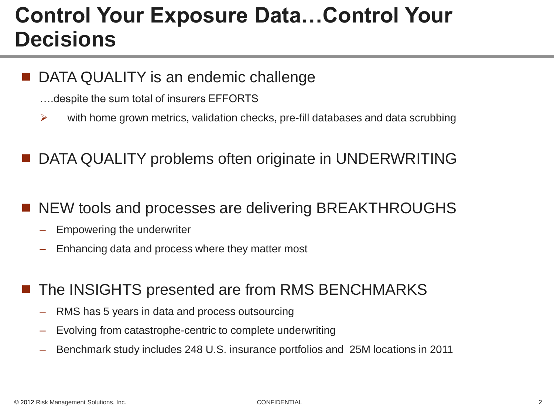## **Control Your Exposure Data…Control Your Decisions**

DATA QUALITY is an endemic challenge

- ….despite the sum total of insurers EFFORTS
- $\triangleright$  with home grown metrics, validation checks, pre-fill databases and data scrubbing
- DATA QUALITY problems often originate in UNDERWRITING
- NEW tools and processes are delivering BREAKTHROUGHS
	- Empowering the underwriter
	- Enhancing data and process where they matter most
	- The INSIGHTS presented are from RMS BENCHMARKS
		- RMS has 5 years in data and process outsourcing
		- Evolving from catastrophe-centric to complete underwriting
		- Benchmark study includes 248 U.S. insurance portfolios and 25M locations in 2011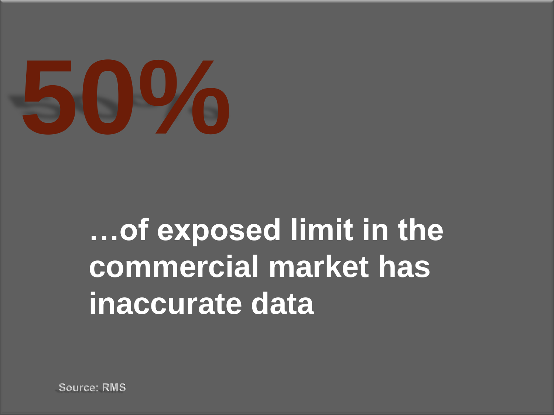

# **…of exposed limit in the commercial market has inaccurate data**

**Source: RMS**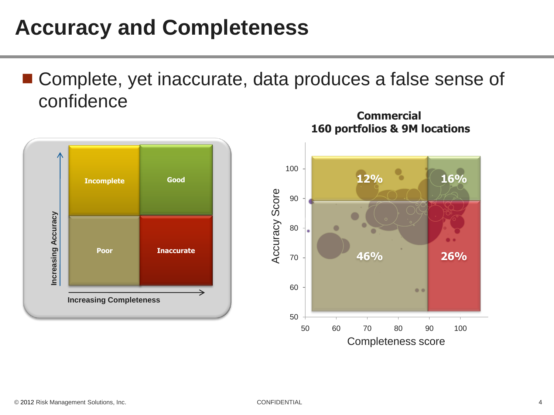# **Accuracy and Completeness**

■ Complete, yet inaccurate, data produces a false sense of confidence



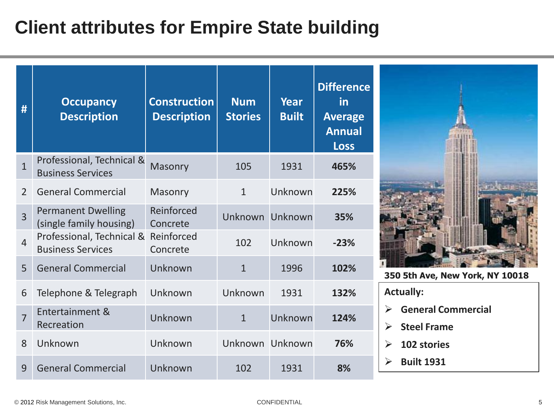### **Client attributes for Empire State building**

| #              | <b>Occupancy</b><br><b>Description</b>                | <b>Construction</b><br><b>Description</b> | <b>Num</b><br><b>Stories</b> | Year<br><b>Built</b> | <b>Difference</b><br><u>in</u><br><b>Average</b><br><b>Annual</b><br><b>Loss</b> |
|----------------|-------------------------------------------------------|-------------------------------------------|------------------------------|----------------------|----------------------------------------------------------------------------------|
| $\overline{1}$ | Professional, Technical &<br><b>Business Services</b> | Masonry                                   | 105                          | 1931                 | 465%                                                                             |
| $\overline{2}$ | <b>General Commercial</b>                             | Masonry                                   | $\mathbf{1}$                 | Unknown              | 225%                                                                             |
| $\overline{3}$ | <b>Permanent Dwelling</b><br>(single family housing)  | Reinforced<br>Concrete                    | Unknown                      | Unknown              | 35%                                                                              |
| $\overline{4}$ | Professional, Technical &<br><b>Business Services</b> | Reinforced<br>Concrete                    | 102                          | Unknown              | $-23%$                                                                           |
| 5              | <b>General Commercial</b>                             | Unknown                                   | $\mathbf{1}$                 | 1996                 | 102%                                                                             |
| 6              | Telephone & Telegraph                                 | Unknown                                   | Unknown                      | 1931                 | 132%                                                                             |
| $\overline{7}$ | Entertainment &<br>Recreation                         | Unknown                                   | $\mathbf{1}$                 | Unknown              | 124%                                                                             |
| 8              | Unknown                                               | Unknown                                   | Unknown Unknown              |                      | 76%                                                                              |
| 9              | <b>General Commercial</b>                             | Unknown                                   | 102                          | 1931                 | 8%                                                                               |



**350 5th Ave, New York, NY 10018**

**Actually:**

- **General Commercial**
- **Steel Frame**
- **102 stories**
- **Built 1931**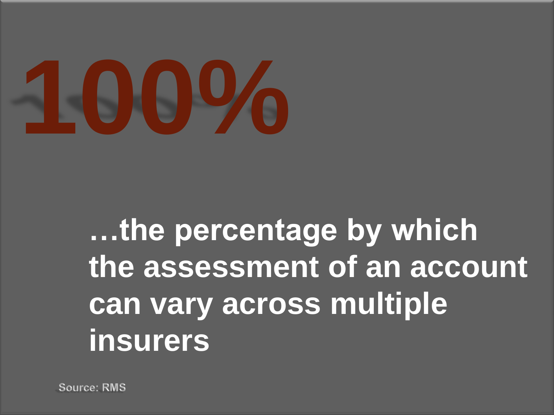

# **…the percentage by which the assessment of an account can vary across multiple insurers**

**Source: RMS**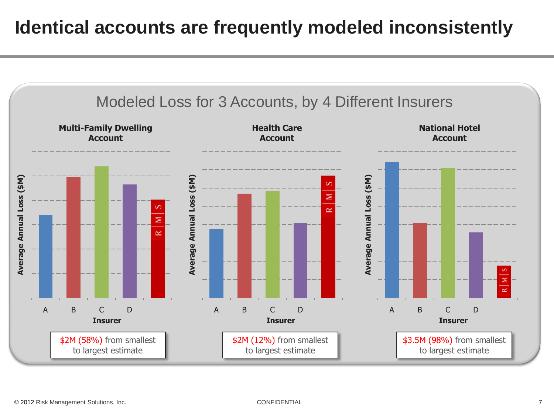### **Identical accounts are frequently modeled inconsistently**

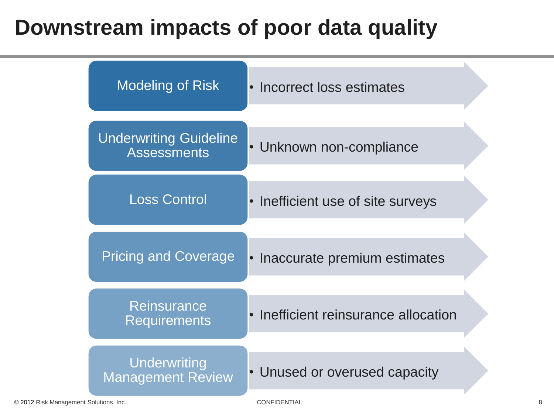## **Downstream impacts of poor data quality**

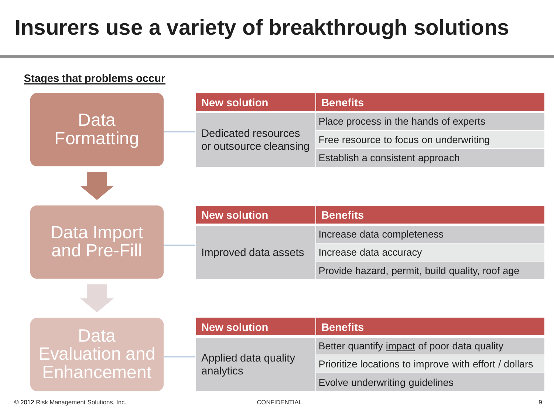# **Insurers use a variety of breakthrough solutions**

#### **Stages that problems occur**

Format

|          | <b>New solution</b>                           | <b>Benefits</b>                        |  |
|----------|-----------------------------------------------|----------------------------------------|--|
| Data     |                                               | Place process in the hands of experts  |  |
| rmatting | Dedicated resources<br>or outsource cleansing | Free resource to focus on underwriting |  |
|          |                                               | Establish a consistent approach        |  |

### Data Import and Pre-Fill

| <b>New solution</b>  | <b>Benefits</b>                                 |  |
|----------------------|-------------------------------------------------|--|
|                      | Increase data completeness                      |  |
| Improved data assets | Increase data accuracy                          |  |
|                      | Provide hazard, permit, build quality, roof age |  |

### Data Evaluation and Enhancement

| <b>New solution</b>               | <b>Benefits</b>                                       |  |
|-----------------------------------|-------------------------------------------------------|--|
|                                   | Better quantify impact of poor data quality           |  |
| Applied data quality<br>analytics | Prioritize locations to improve with effort / dollars |  |
|                                   | Evolve underwriting guidelines                        |  |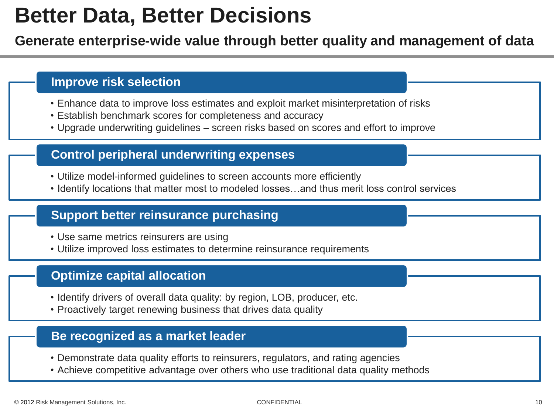### **Better Data, Better Decisions**

### **Generate enterprise-wide value through better quality and management of data**

#### **Improve risk selection**

- Enhance data to improve loss estimates and exploit market misinterpretation of risks
- Establish benchmark scores for completeness and accuracy
- Upgrade underwriting guidelines screen risks based on scores and effort to improve

### **Control peripheral underwriting expenses**

- Utilize model-informed guidelines to screen accounts more efficiently
- Identify locations that matter most to modeled losses…and thus merit loss control services

### **Support better reinsurance purchasing**

- Use same metrics reinsurers are using
- Utilize improved loss estimates to determine reinsurance requirements

### **Optimize capital allocation**

- Identify drivers of overall data quality: by region, LOB, producer, etc.
- Proactively target renewing business that drives data quality

#### **Be recognized as a market leader**

- Demonstrate data quality efforts to reinsurers, regulators, and rating agencies
- Achieve competitive advantage over others who use traditional data quality methods